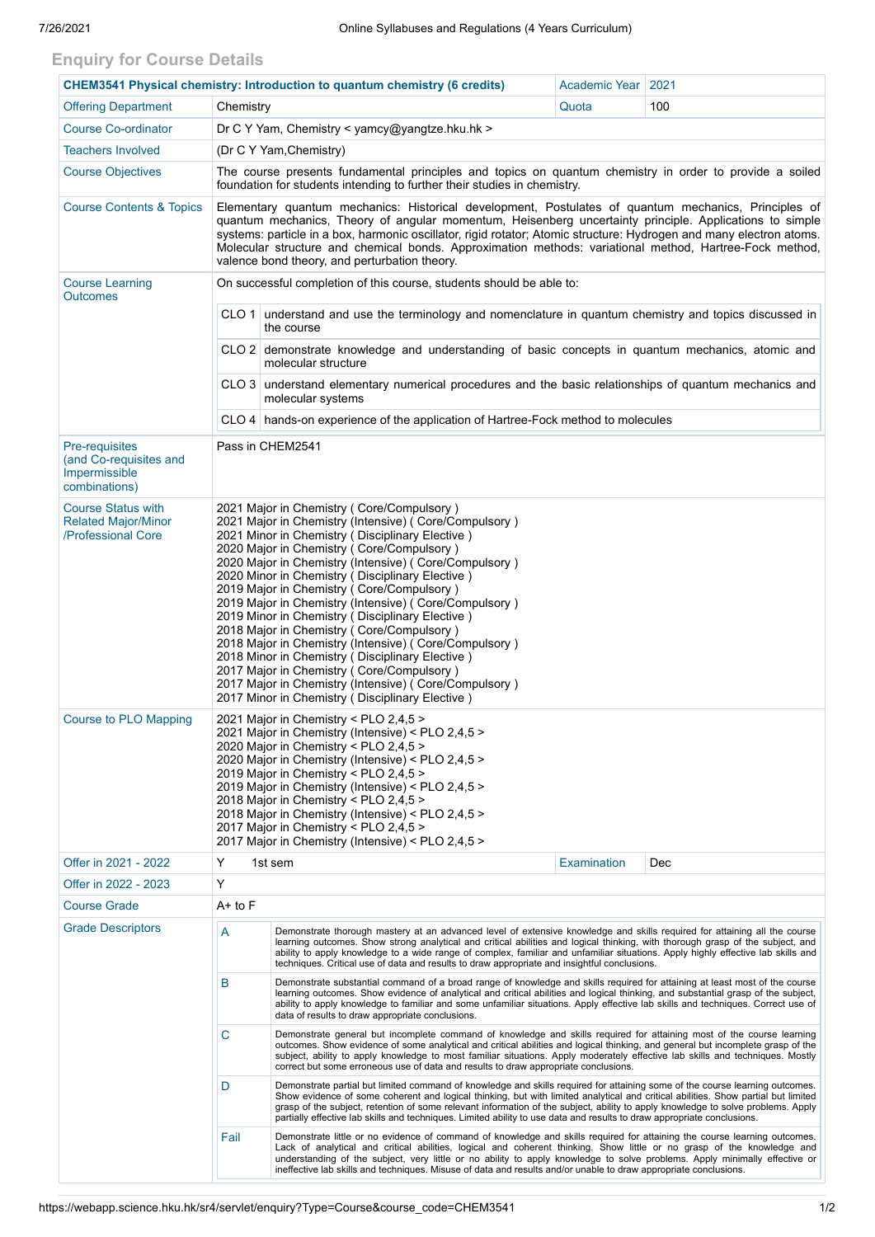## **Enquiry for Course Details**

| <b>CHEM3541 Physical chemistry: Introduction to quantum chemistry (6 credits)</b> |                                                                                                                                                                                                                                                                                                                                                                                                                                                                                                                                                                                                                                                                                                                                                                                               | Academic Year   2021                                                                                                                                                                                                                                                                                                                                                                                                                                                                                                             |                    |     |  |  |  |
|-----------------------------------------------------------------------------------|-----------------------------------------------------------------------------------------------------------------------------------------------------------------------------------------------------------------------------------------------------------------------------------------------------------------------------------------------------------------------------------------------------------------------------------------------------------------------------------------------------------------------------------------------------------------------------------------------------------------------------------------------------------------------------------------------------------------------------------------------------------------------------------------------|----------------------------------------------------------------------------------------------------------------------------------------------------------------------------------------------------------------------------------------------------------------------------------------------------------------------------------------------------------------------------------------------------------------------------------------------------------------------------------------------------------------------------------|--------------------|-----|--|--|--|
| <b>Offering Department</b>                                                        | Chemistry                                                                                                                                                                                                                                                                                                                                                                                                                                                                                                                                                                                                                                                                                                                                                                                     |                                                                                                                                                                                                                                                                                                                                                                                                                                                                                                                                  | Quota              | 100 |  |  |  |
| <b>Course Co-ordinator</b>                                                        | Dr C Y Yam, Chemistry < yamcy@yangtze.hku.hk >                                                                                                                                                                                                                                                                                                                                                                                                                                                                                                                                                                                                                                                                                                                                                |                                                                                                                                                                                                                                                                                                                                                                                                                                                                                                                                  |                    |     |  |  |  |
| <b>Teachers Involved</b>                                                          | (Dr C Y Yam, Chemistry)                                                                                                                                                                                                                                                                                                                                                                                                                                                                                                                                                                                                                                                                                                                                                                       |                                                                                                                                                                                                                                                                                                                                                                                                                                                                                                                                  |                    |     |  |  |  |
| <b>Course Objectives</b>                                                          | The course presents fundamental principles and topics on quantum chemistry in order to provide a soiled<br>foundation for students intending to further their studies in chemistry.                                                                                                                                                                                                                                                                                                                                                                                                                                                                                                                                                                                                           |                                                                                                                                                                                                                                                                                                                                                                                                                                                                                                                                  |                    |     |  |  |  |
| <b>Course Contents &amp; Topics</b>                                               | Elementary quantum mechanics: Historical development, Postulates of quantum mechanics, Principles of<br>quantum mechanics, Theory of angular momentum, Heisenberg uncertainty principle. Applications to simple<br>systems: particle in a box, harmonic oscillator, rigid rotator; Atomic structure: Hydrogen and many electron atoms.<br>Molecular structure and chemical bonds. Approximation methods: variational method, Hartree-Fock method,<br>valence bond theory, and perturbation theory.                                                                                                                                                                                                                                                                                            |                                                                                                                                                                                                                                                                                                                                                                                                                                                                                                                                  |                    |     |  |  |  |
| <b>Course Learning</b><br><b>Outcomes</b>                                         |                                                                                                                                                                                                                                                                                                                                                                                                                                                                                                                                                                                                                                                                                                                                                                                               | On successful completion of this course, students should be able to:                                                                                                                                                                                                                                                                                                                                                                                                                                                             |                    |     |  |  |  |
|                                                                                   | CLO 1 understand and use the terminology and nomenclature in quantum chemistry and topics discussed in<br>the course                                                                                                                                                                                                                                                                                                                                                                                                                                                                                                                                                                                                                                                                          |                                                                                                                                                                                                                                                                                                                                                                                                                                                                                                                                  |                    |     |  |  |  |
|                                                                                   | CLO 2 demonstrate knowledge and understanding of basic concepts in quantum mechanics, atomic and<br>molecular structure                                                                                                                                                                                                                                                                                                                                                                                                                                                                                                                                                                                                                                                                       |                                                                                                                                                                                                                                                                                                                                                                                                                                                                                                                                  |                    |     |  |  |  |
|                                                                                   | CLO 3 understand elementary numerical procedures and the basic relationships of quantum mechanics and<br>molecular systems                                                                                                                                                                                                                                                                                                                                                                                                                                                                                                                                                                                                                                                                    |                                                                                                                                                                                                                                                                                                                                                                                                                                                                                                                                  |                    |     |  |  |  |
|                                                                                   | CLO 4   hands-on experience of the application of Hartree-Fock method to molecules                                                                                                                                                                                                                                                                                                                                                                                                                                                                                                                                                                                                                                                                                                            |                                                                                                                                                                                                                                                                                                                                                                                                                                                                                                                                  |                    |     |  |  |  |
| <b>Pre-requisites</b><br>(and Co-requisites and<br>Impermissible<br>combinations) | Pass in CHEM2541                                                                                                                                                                                                                                                                                                                                                                                                                                                                                                                                                                                                                                                                                                                                                                              |                                                                                                                                                                                                                                                                                                                                                                                                                                                                                                                                  |                    |     |  |  |  |
| <b>Course Status with</b><br><b>Related Major/Minor</b><br>/Professional Core     | 2021 Major in Chemistry (Core/Compulsory)<br>2021 Major in Chemistry (Intensive) ( Core/Compulsory )<br>2021 Minor in Chemistry (Disciplinary Elective)<br>2020 Major in Chemistry (Core/Compulsory)<br>2020 Major in Chemistry (Intensive) ( Core/Compulsory )<br>2020 Minor in Chemistry (Disciplinary Elective)<br>2019 Major in Chemistry (Core/Compulsory)<br>2019 Major in Chemistry (Intensive) (Core/Compulsory)<br>2019 Minor in Chemistry (Disciplinary Elective)<br>2018 Major in Chemistry (Core/Compulsory)<br>2018 Major in Chemistry (Intensive) (Core/Compulsory)<br>2018 Minor in Chemistry (Disciplinary Elective)<br>2017 Major in Chemistry (Core/Compulsory)<br>2017 Major in Chemistry (Intensive) (Core/Compulsory)<br>2017 Minor in Chemistry (Disciplinary Elective) |                                                                                                                                                                                                                                                                                                                                                                                                                                                                                                                                  |                    |     |  |  |  |
| <b>Course to PLO Mapping</b>                                                      | 2021 Major in Chemistry < PLO 2,4,5 ><br>2021 Major in Chemistry (Intensive) < PLO 2,4,5 ><br>2020 Major in Chemistry < PLO 2,4,5 ><br>2020 Major in Chemistry (Intensive) < PLO 2,4,5 ><br>2019 Major in Chemistry < PLO 2,4,5 ><br>2019 Major in Chemistry (Intensive) < PLO 2,4,5 ><br>2018 Major in Chemistry < PLO 2,4,5 ><br>2018 Major in Chemistry (Intensive) < PLO 2,4,5 ><br>2017 Major in Chemistry < PLO 2,4,5 ><br>2017 Major in Chemistry (Intensive) < PLO 2,4,5 >                                                                                                                                                                                                                                                                                                            |                                                                                                                                                                                                                                                                                                                                                                                                                                                                                                                                  |                    |     |  |  |  |
| Offer in 2021 - 2022                                                              | Y                                                                                                                                                                                                                                                                                                                                                                                                                                                                                                                                                                                                                                                                                                                                                                                             | 1st sem                                                                                                                                                                                                                                                                                                                                                                                                                                                                                                                          | <b>Examination</b> | Dec |  |  |  |
| Offer in 2022 - 2023                                                              | Y                                                                                                                                                                                                                                                                                                                                                                                                                                                                                                                                                                                                                                                                                                                                                                                             |                                                                                                                                                                                                                                                                                                                                                                                                                                                                                                                                  |                    |     |  |  |  |
| <b>Course Grade</b>                                                               | $A+$ to $F$                                                                                                                                                                                                                                                                                                                                                                                                                                                                                                                                                                                                                                                                                                                                                                                   |                                                                                                                                                                                                                                                                                                                                                                                                                                                                                                                                  |                    |     |  |  |  |
| <b>Grade Descriptors</b>                                                          | Α<br>Demonstrate thorough mastery at an advanced level of extensive knowledge and skills required for attaining all the course<br>learning outcomes. Show strong analytical and critical abilities and logical thinking, with thorough grasp of the subject, and<br>ability to apply knowledge to a wide range of complex, familiar and unfamiliar situations. Apply highly effective lab skills and<br>techniques. Critical use of data and results to draw appropriate and insightful conclusions.                                                                                                                                                                                                                                                                                          |                                                                                                                                                                                                                                                                                                                                                                                                                                                                                                                                  |                    |     |  |  |  |
|                                                                                   | B                                                                                                                                                                                                                                                                                                                                                                                                                                                                                                                                                                                                                                                                                                                                                                                             | Demonstrate substantial command of a broad range of knowledge and skills required for attaining at least most of the course<br>learning outcomes. Show evidence of analytical and critical abilities and logical thinking, and substantial grasp of the subject,<br>ability to apply knowledge to familiar and some unfamiliar situations. Apply effective lab skills and techniques. Correct use of<br>data of results to draw appropriate conclusions.                                                                         |                    |     |  |  |  |
|                                                                                   | C<br>Demonstrate general but incomplete command of knowledge and skills required for attaining most of the course learning<br>outcomes. Show evidence of some analytical and critical abilities and logical thinking, and general but incomplete grasp of the<br>subject, ability to apply knowledge to most familiar situations. Apply moderately effective lab skills and techniques. Mostly<br>correct but some erroneous use of data and results to draw appropriate conclusions.                                                                                                                                                                                                                                                                                                         |                                                                                                                                                                                                                                                                                                                                                                                                                                                                                                                                  |                    |     |  |  |  |
|                                                                                   | D                                                                                                                                                                                                                                                                                                                                                                                                                                                                                                                                                                                                                                                                                                                                                                                             | Demonstrate partial but limited command of knowledge and skills required for attaining some of the course learning outcomes.<br>Show evidence of some coherent and logical thinking, but with limited analytical and critical abilities. Show partial but limited<br>grasp of the subject, retention of some relevant information of the subject, ability to apply knowledge to solve problems. Apply<br>partially effective lab skills and techniques. Limited ability to use data and results to draw appropriate conclusions. |                    |     |  |  |  |
|                                                                                   | Fail                                                                                                                                                                                                                                                                                                                                                                                                                                                                                                                                                                                                                                                                                                                                                                                          | Demonstrate little or no evidence of command of knowledge and skills required for attaining the course learning outcomes.<br>Lack of analytical and critical abilities, logical and coherent thinking. Show little or no grasp of the knowledge and<br>understanding of the subject, very little or no ability to apply knowledge to solve problems. Apply minimally effective or<br>ineffective lab skills and techniques. Misuse of data and results and/or unable to draw appropriate conclusions.                            |                    |     |  |  |  |